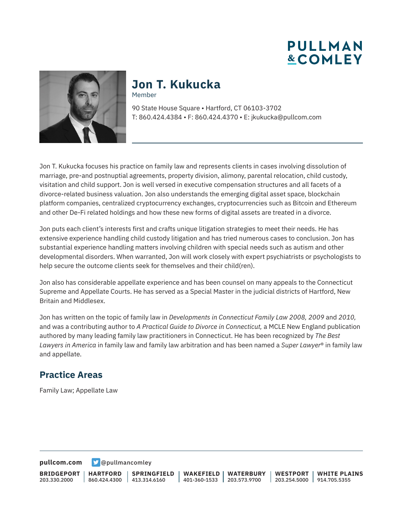**PULLMAN &COMLEY** 



#### **Jon T. Kukucka** Member

90 State House Square • Hartford, CT 06103-3702 T: 860.424.4384 • F: 860.424.4370 • E: jkukucka@pullcom.com

Jon T. Kukucka focuses his practice on family law and represents clients in cases involving dissolution of marriage, pre-and postnuptial agreements, property division, alimony, parental relocation, child custody, visitation and child support. Jon is well versed in executive compensation structures and all facets of a divorce-related business valuation. Jon also understands the emerging digital asset space, blockchain platform companies, centralized cryptocurrency exchanges, cryptocurrencies such as Bitcoin and Ethereum and other De-Fi related holdings and how these new forms of digital assets are treated in a divorce.

Jon puts each client's interests first and crafts unique litigation strategies to meet their needs. He has extensive experience handling child custody litigation and has tried numerous cases to conclusion. Jon has substantial experience handling matters involving children with special needs such as autism and other developmental disorders. When warranted, Jon will work closely with expert psychiatrists or psychologists to help secure the outcome clients seek for themselves and their child(ren).

Jon also has considerable appellate experience and has been counsel on many appeals to the Connecticut Supreme and Appellate Courts. He has served as a Special Master in the judicial districts of Hartford, New Britain and Middlesex.

Jon has written on the topic of family law in *Developments in Connecticut Family Law 2008, 2009* and *2010,* and was a contributing author to *A Practical Guide to Divorce in Connecticut,* a MCLE New England publication authored by many leading family law practitioners in Connecticut. He has been recognized by *The Best Lawyers in America* in family law and family law arbitration and has been named a *Super Lawyer*® in family law and appellate.

#### **Practice Areas**

Family Law; Appellate Law

**[pullcom.com](https://www.pullcom.com) g** [@pullmancomley](https://twitter.com/PullmanComley)

**BRIDGEPORT** 203.330.2000

**HARTFORD**

860.424.4300 413.314.6160 **SPRINGFIELD** **WAKEFIELD** 401-360-1533 203.573.9700 **WATERBURY**

**WESTPORT** 203.254.5000 914.705.5355 **WHITE PLAINS**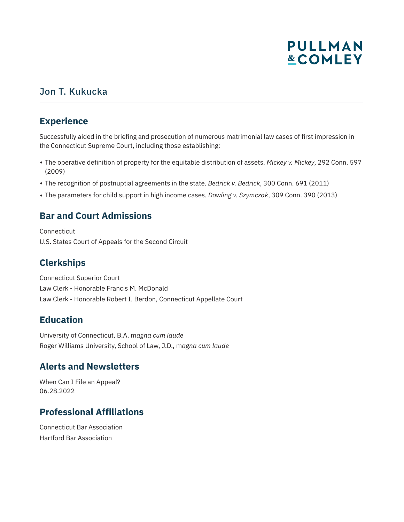# **PULLMAN &COMLEY**

### Jon T. Kukucka

#### **Experience**

Successfully aided in the briefing and prosecution of numerous matrimonial law cases of first impression in the Connecticut Supreme Court, including those establishing:

- The operative definition of property for the equitable distribution of assets. *Mickey v. Mickey*, 292 Conn. 597 (2009)
- The recognition of postnuptial agreements in the state. *Bedrick v. Bedrick*, 300 Conn. 691 (2011)
- The parameters for child support in high income cases. *Dowling v. Szymczak*, 309 Conn. 390 (2013)

### **Bar and Court Admissions**

Connecticut U.S. States Court of Appeals for the Second Circuit

### **Clerkships**

Connecticut Superior Court Law Clerk - Honorable Francis M. McDonald Law Clerk - Honorable Robert I. Berdon, Connecticut Appellate Court

### **Education**

University of Connecticut, B.A. m*agna cum laude* Roger Williams University, School of Law, J.D., m*agna cum laude*

### **Alerts and Newsletters**

When Can I File an Appeal? 06.28.2022

### **Professional Affiliations**

Connecticut Bar Association Hartford Bar Association